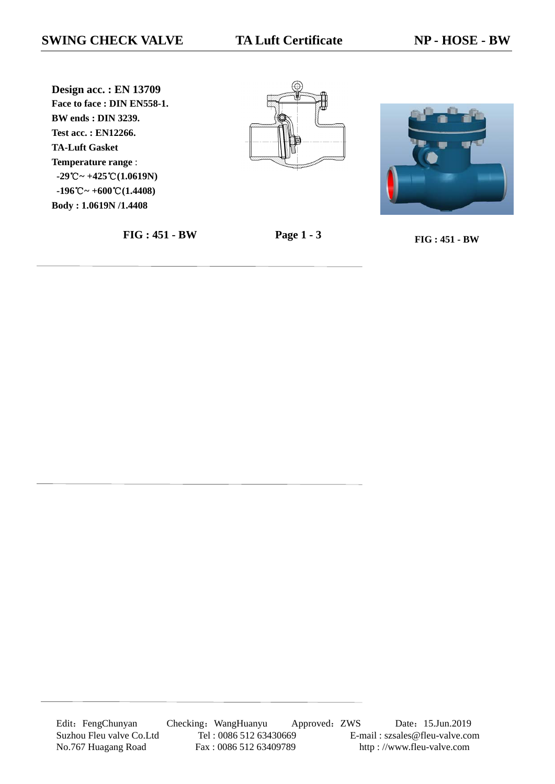**Design acc. : EN 13709 Face to face : DIN EN558-1. BW ends : DIN 3239. Test acc. : EN12266. TA-Luft Gasket Temperature range** : **-29**℃**~ +425**℃**(1.0619N) -196**℃**~ +600**℃**(1.4408) Body : 1.0619N /1.4408**







**FIG : 451 - BW Page 1 - 3 FIG : 451 - BW**

Edit: FengChunyan Checking: WangHuanyu Approved: ZWS Date: 15.Jun.2019 Suzhou Fleu valve Co.Ltd Tel : 0086 512 63430669 E-mail : szsales@fleu-valve.com<br>No.767 Huagang Road Fax : 0086 512 63409789 http : //www.fleu-valve.com No.767 Huagang Road Fax : 0086 512 63409789 http : //www.fleu-valve.com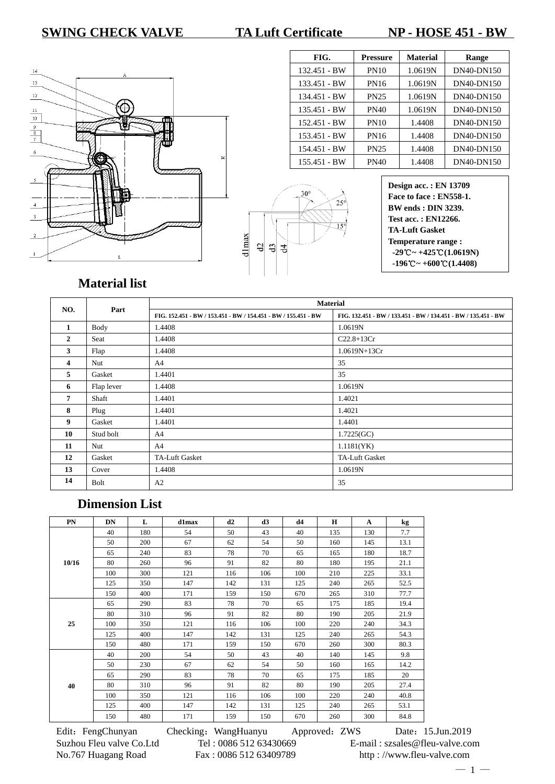## **SWING CHECK VALVE TA Luft Certificate NP - HOSE 451 - BW**



| FIG.         | <b>Pressure</b> | <b>Material</b> | Range      |
|--------------|-----------------|-----------------|------------|
| 132.451 - BW | <b>PN10</b>     | 1.0619N         | DN40-DN150 |
| 133.451 - BW | <b>PN16</b>     | 1.0619N         | DN40-DN150 |
| 134.451 - BW | <b>PN25</b>     | 1.0619N         | DN40-DN150 |
| 135.451 - BW | <b>PN40</b>     | 1.0619N         | DN40-DN150 |
| 152.451 - BW | <b>PN10</b>     | 1.4408          | DN40-DN150 |
| 153.451 - BW | <b>PN16</b>     | 1.4408          | DN40-DN150 |
| 154.451 - BW | <b>PN25</b>     | 1.4408          | DN40-DN150 |
| 155.451 - BW | <b>PN40</b>     | 1.4408          | DN40-DN150 |

|       | $30^{\circ}$ | $25^\circ$ |
|-------|--------------|------------|
| dlmax | 日日           | $15^\circ$ |

# **Material list**

|              | Part       | <b>Material</b>                                        |                                                                |
|--------------|------------|--------------------------------------------------------|----------------------------------------------------------------|
| NO.          |            | FIG. 152.451 BW / 153.451 BW / 154.451 BW / 155.451 BW | FIG. 132.451 - BW / 133.451 - BW / 134.451 - BW / 135.451 - BW |
| 1            | Body       | 1.4408                                                 | 1.0619N                                                        |
| $\mathbf{2}$ | Seat       | 1.4408                                                 | $C22.8+13Cr$                                                   |
| 3            | Flap       | 1.4408                                                 | 1.0619N+13Cr                                                   |
| 4            | Nut        | A <sup>4</sup>                                         | 35                                                             |
| 5            | Gasket     | 1.4401                                                 | 35                                                             |
| 6            | Flap lever | 1.4408                                                 | 1.0619N                                                        |
| 7            | Shaft      | 1.4401                                                 | 1.4021                                                         |
| 8            | Plug       | 1.4401                                                 | 1.4021                                                         |
| 9            | Gasket     | 1.4401                                                 | 1.4401                                                         |
| 10           | Stud bolt  | A <sup>4</sup>                                         | 1.7225(GC)                                                     |
| 11           | Nut        | A <sup>4</sup>                                         | 1.1181(YK)                                                     |
| 12           | Gasket     | TA-Luft Gasket                                         | TA-Luft Gasket                                                 |
| 13           | Cover      | 1.4408                                                 | 1.0619N                                                        |
| 14           | Bolt       | A2                                                     | 35                                                             |

# **Dimension List**

| PN    | <b>DN</b> | L   | d1max | d2  | d3  | d4  | $\mathbf H$ | $\mathbf{A}$ | kg   |
|-------|-----------|-----|-------|-----|-----|-----|-------------|--------------|------|
| 10/16 | 40        | 180 | 54    | 50  | 43  | 40  | 135         | 130          | 7.7  |
|       | 50        | 200 | 67    | 62  | 54  | 50  | 160         | 145          | 13.1 |
|       | 65        | 240 | 83    | 78  | 70  | 65  | 165         | 180          | 18.7 |
|       | 80        | 260 | 96    | 91  | 82  | 80  | 180         | 195          | 21.1 |
|       | 100       | 300 | 121   | 116 | 106 | 100 | 210         | 225          | 33.1 |
|       | 125       | 350 | 147   | 142 | 131 | 125 | 240         | 265          | 52.5 |
|       | 150       | 400 | 171   | 159 | 150 | 670 | 265         | 310          | 77.7 |
|       | 65        | 290 | 83    | 78  | 70  | 65  | 175         | 185          | 19.4 |
|       | 80        | 310 | 96    | 91  | 82  | 80  | 190         | 205          | 21.9 |
| 25    | 100       | 350 | 121   | 116 | 106 | 100 | 220         | 240          | 34.3 |
|       | 125       | 400 | 147   | 142 | 131 | 125 | 240         | 265          | 54.3 |
|       | 150       | 480 | 171   | 159 | 150 | 670 | 260         | 300          | 80.3 |
|       | 40        | 200 | 54    | 50  | 43  | 40  | 140         | 145          | 9.8  |
|       | 50        | 230 | 67    | 62  | 54  | 50  | 160         | 165          | 14.2 |
|       | 65        | 290 | 83    | 78  | 70  | 65  | 175         | 185          | 20   |
| 40    | 80        | 310 | 96    | 91  | 82  | 80  | 190         | 205          | 27.4 |
|       | 100       | 350 | 121   | 116 | 106 | 100 | 220         | 240          | 40.8 |
|       | 125       | 400 | 147   | 142 | 131 | 125 | 240         | 265          | 53.1 |
|       | 150       | 480 | 171   | 159 | 150 | 670 | 260         | 300          | 84.8 |

Edit: FengChunyan Checking: WangHuanyu Approved: ZWS Date: 15.Jun.2019 Suzhou Fleu valve Co.Ltd Tel : 0086 512 63430669 E-mail : szsales@fleu-valve.com No.767 Huagang Road Fax : 0086 512 63409789 http : //www.fleu-valve.com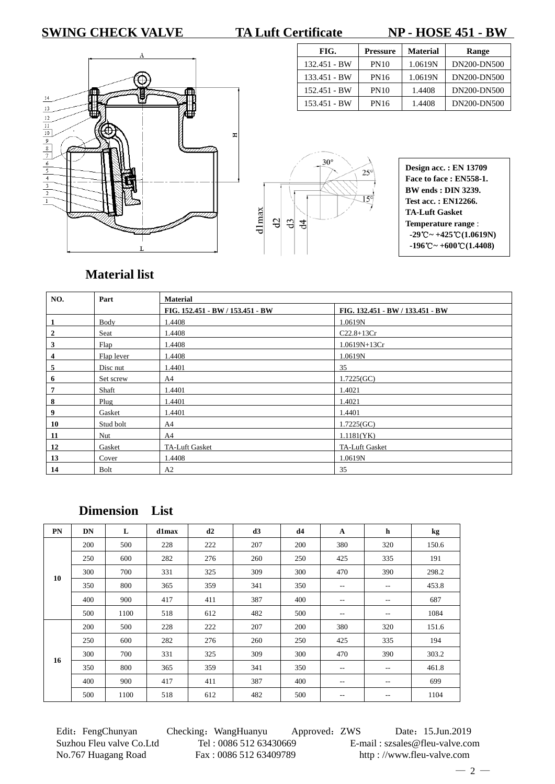### **SWING CHECK VALVE TA Luft Certificate NP - HOSE 451 - BW**

**FIG.** Pressure Material Range 132.451 - BW | PN10 | 1.0619N | DN200-DN500 133.451 - BW | PN16 | 1.0619N | DN200-DN500 152.451 - BW | PN10 | 1.4408 | DN200-DN500 153.451 - BW | PN16 | 1.4408 | DN200-DN500



|       | $30^\circ$<br>$25^\circ$                      |
|-------|-----------------------------------------------|
| dlmax | $15^\circ$<br>$\mathfrak{Q}$<br>$\frac{1}{3}$ |

| <b>Design acc.: EN 13709</b>                                      |
|-------------------------------------------------------------------|
| Face to face: EN558-1.                                            |
| <b>BW</b> ends : <b>DIN</b> 3239.                                 |
| Test acc.: EN12266.                                               |
| <b>TA-Luft Gasket</b>                                             |
| Temperature range :                                               |
| $-29^{\circ}\text{C} \sim +425^{\circ}\text{C} (1.0619 \text{N})$ |
| $-196^{\circ}\text{C} \sim +600^{\circ}\text{C} (1.4408)$         |

## **Material list**

| NO.              | Part       | <b>Material</b>                  |                                  |  |  |  |  |
|------------------|------------|----------------------------------|----------------------------------|--|--|--|--|
|                  |            | FIG. 152.451 - BW / 153.451 - BW | FIG. 132.451 - BW / 133.451 - BW |  |  |  |  |
| 1                | Body       | 1.4408                           | 1.0619N                          |  |  |  |  |
| $\boldsymbol{2}$ | Seat       | 1.4408                           | $C22.8+13Cr$                     |  |  |  |  |
| 3                | Flap       | 1.4408                           | $1.0619N+13Cr$                   |  |  |  |  |
| 4                | Flap lever | 1.4408                           | 1.0619N                          |  |  |  |  |
| 5                | Disc nut   | 1.4401                           | 35                               |  |  |  |  |
| 6                | Set screw  | A4                               | 1.7225(GC)                       |  |  |  |  |
| 7                | Shaft      | 1.4401                           | 1.4021                           |  |  |  |  |
| 8                | Plug       | 1.4401                           | 1.4021                           |  |  |  |  |
| 9                | Gasket     | 1.4401                           | 1.4401                           |  |  |  |  |
| 10               | Stud bolt  | A4                               | 1.7225(GC)                       |  |  |  |  |
| 11               | Nut        | A4                               | 1.1181(YK)                       |  |  |  |  |
| 12               | Gasket     | TA-Luft Gasket                   | TA-Luft Gasket                   |  |  |  |  |
| 13               | Cover      | 1.4408                           | 1.0619N                          |  |  |  |  |
| 14               | Bolt       | A2                               | 35                               |  |  |  |  |

**Dimension List**

| PN | DN  | L    | d1max | d2  | d3  | d4  | $\mathbf{A}$ | h                 | kg    |
|----|-----|------|-------|-----|-----|-----|--------------|-------------------|-------|
|    | 200 | 500  | 228   | 222 | 207 | 200 | 380          | 320               | 150.6 |
|    | 250 | 600  | 282   | 276 | 260 | 250 | 425          | 335               | 191   |
| 10 | 300 | 700  | 331   | 325 | 309 | 300 | 470          | 390               | 298.2 |
|    | 350 | 800  | 365   | 359 | 341 | 350 | $-$          | $- -$             | 453.8 |
|    | 400 | 900  | 417   | 411 | 387 | 400 | --           | $-$               | 687   |
|    | 500 | 1100 | 518   | 612 | 482 | 500 | $-$          | $\qquad \qquad -$ | 1084  |
|    | 200 | 500  | 228   | 222 | 207 | 200 | 380          | 320               | 151.6 |
|    | 250 | 600  | 282   | 276 | 260 | 250 | 425          | 335               | 194   |
|    | 300 | 700  | 331   | 325 | 309 | 300 | 470          | 390               | 303.2 |
| 16 | 350 | 800  | 365   | 359 | 341 | 350 | $ -$         | $- -$             | 461.8 |
|    | 400 | 900  | 417   | 411 | 387 | 400 | $-$          | $-$               | 699   |
|    | 500 | 1100 | 518   | 612 | 482 | 500 | $- -$        | $- -$             | 1104  |

No.767 Huagang Road Fax : 0086 512 63409789 http : //www.fleu-valve.com

Edit: FengChunyan Checking: WangHuanyu Approved: ZWS Date: 15.Jun.2019 Suzhou Fleu valve Co.Ltd Tel : 0086 512 63430669 E-mail : szsales@fleu-valve.com